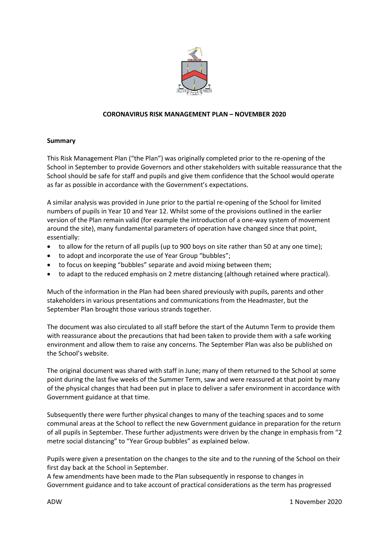

# **CORONAVIRUS RISK MANAGEMENT PLAN – NOVEMBER 2020**

## **Summary**

This Risk Management Plan ("the Plan") was originally completed prior to the re-opening of the School in September to provide Governors and other stakeholders with suitable reassurance that the School should be safe for staff and pupils and give them confidence that the School would operate as far as possible in accordance with the Government's expectations.

A similar analysis was provided in June prior to the partial re-opening of the School for limited numbers of pupils in Year 10 and Year 12. Whilst some of the provisions outlined in the earlier version of the Plan remain valid (for example the introduction of a one-way system of movement around the site), many fundamental parameters of operation have changed since that point, essentially:

- to allow for the return of all pupils (up to 900 boys on site rather than 50 at any one time);
- to adopt and incorporate the use of Year Group "bubbles";
- to focus on keeping "bubbles" separate and avoid mixing between them;
- to adapt to the reduced emphasis on 2 metre distancing (although retained where practical).

Much of the information in the Plan had been shared previously with pupils, parents and other stakeholders in various presentations and communications from the Headmaster, but the September Plan brought those various strands together.

The document was also circulated to all staff before the start of the Autumn Term to provide them with reassurance about the precautions that had been taken to provide them with a safe working environment and allow them to raise any concerns. The September Plan was also be published on the School's website.

The original document was shared with staff in June; many of them returned to the School at some point during the last five weeks of the Summer Term, saw and were reassured at that point by many of the physical changes that had been put in place to deliver a safer environment in accordance with Government guidance at that time.

Subsequently there were further physical changes to many of the teaching spaces and to some communal areas at the School to reflect the new Government guidance in preparation for the return of all pupils in September. These further adjustments were driven by the change in emphasis from "2 metre social distancing" to "Year Group bubbles" as explained below.

Pupils were given a presentation on the changes to the site and to the running of the School on their first day back at the School in September.

A few amendments have been made to the Plan subsequently in response to changes in Government guidance and to take account of practical considerations as the term has progressed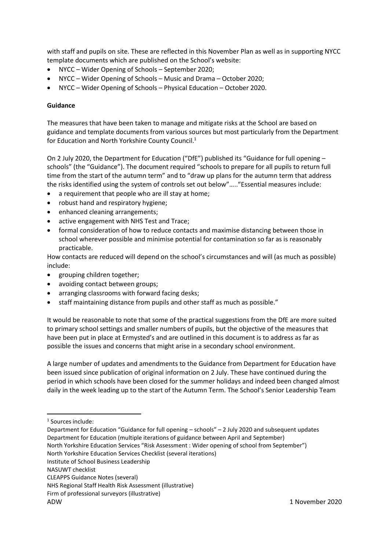with staff and pupils on site. These are reflected in this November Plan as well as in supporting NYCC template documents which are published on the School's website:

- NYCC Wider Opening of Schools September 2020;
- NYCC Wider Opening of Schools Music and Drama October 2020;
- NYCC Wider Opening of Schools Physical Education October 2020.

# **Guidance**

The measures that have been taken to manage and mitigate risks at the School are based on guidance and template documents from various sources but most particularly from the Department for Education and North Yorkshire County Council.<sup>1</sup>

On 2 July 2020, the Department for Education ("DfE") published its "Guidance for full opening – schools" (the "Guidance"). The document required "schools to prepare for all pupils to return full time from the start of the autumn term" and to "draw up plans for the autumn term that address the risks identified using the system of controls set out below"….."Essential measures include:

- a requirement that people who are ill stay at home;
- robust hand and respiratory hygiene;
- enhanced cleaning arrangements;
- active engagement with NHS Test and Trace;
- formal consideration of how to reduce contacts and maximise distancing between those in school wherever possible and minimise potential for contamination so far as is reasonably practicable.

How contacts are reduced will depend on the school's circumstances and will (as much as possible) include:

- grouping children together;
- avoiding contact between groups;
- arranging classrooms with forward facing desks;
- staff maintaining distance from pupils and other staff as much as possible."

It would be reasonable to note that some of the practical suggestions from the DfE are more suited to primary school settings and smaller numbers of pupils, but the objective of the measures that have been put in place at Ermysted's and are outlined in this document is to address as far as possible the issues and concerns that might arise in a secondary school environment.

A large number of updates and amendments to the Guidance from Department for Education have been issued since publication of original information on 2 July. These have continued during the period in which schools have been closed for the summer holidays and indeed been changed almost daily in the week leading up to the start of the Autumn Term. The School's Senior Leadership Team

1

North Yorkshire Education Services Checklist (several iterations)

<sup>1</sup> Sources include:

Department for Education "Guidance for full opening – schools" – 2 July 2020 and subsequent updates Department for Education (multiple iterations of guidance between April and September) North Yorkshire Education Services "Risk Assessment : Wider opening of school from September")

Institute of School Business Leadership

NASUWT checklist

CLEAPPS Guidance Notes (several)

NHS Regional Staff Health Risk Assessment (illustrative)

Firm of professional surveyors (illustrative)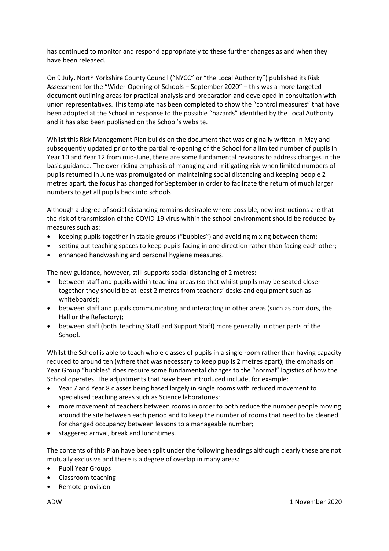has continued to monitor and respond appropriately to these further changes as and when they have been released.

On 9 July, North Yorkshire County Council ("NYCC" or "the Local Authority") published its Risk Assessment for the "Wider-Opening of Schools – September 2020" – this was a more targeted document outlining areas for practical analysis and preparation and developed in consultation with union representatives. This template has been completed to show the "control measures" that have been adopted at the School in response to the possible "hazards" identified by the Local Authority and it has also been published on the School's website.

Whilst this Risk Management Plan builds on the document that was originally written in May and subsequently updated prior to the partial re-opening of the School for a limited number of pupils in Year 10 and Year 12 from mid-June, there are some fundamental revisions to address changes in the basic guidance. The over-riding emphasis of managing and mitigating risk when limited numbers of pupils returned in June was promulgated on maintaining social distancing and keeping people 2 metres apart, the focus has changed for September in order to facilitate the return of much larger numbers to get all pupils back into schools.

Although a degree of social distancing remains desirable where possible, new instructions are that the risk of transmission of the COVID-19 virus within the school environment should be reduced by measures such as:

- keeping pupils together in stable groups ("bubbles") and avoiding mixing between them;
- setting out teaching spaces to keep pupils facing in one direction rather than facing each other;
- enhanced handwashing and personal hygiene measures.

The new guidance, however, still supports social distancing of 2 metres:

- between staff and pupils within teaching areas (so that whilst pupils may be seated closer together they should be at least 2 metres from teachers' desks and equipment such as whiteboards);
- between staff and pupils communicating and interacting in other areas (such as corridors, the Hall or the Refectory);
- between staff (both Teaching Staff and Support Staff) more generally in other parts of the School.

Whilst the School is able to teach whole classes of pupils in a single room rather than having capacity reduced to around ten (where that was necessary to keep pupils 2 metres apart), the emphasis on Year Group "bubbles" does require some fundamental changes to the "normal" logistics of how the School operates. The adjustments that have been introduced include, for example:

- Year 7 and Year 8 classes being based largely in single rooms with reduced movement to specialised teaching areas such as Science laboratories;
- more movement of teachers between rooms in order to both reduce the number people moving around the site between each period and to keep the number of rooms that need to be cleaned for changed occupancy between lessons to a manageable number;
- staggered arrival, break and lunchtimes.

The contents of this Plan have been split under the following headings although clearly these are not mutually exclusive and there is a degree of overlap in many areas:

- Pupil Year Groups
- Classroom teaching
- Remote provision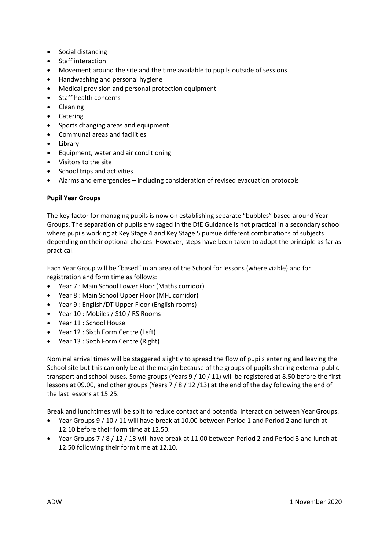- Social distancing
- Staff interaction
- Movement around the site and the time available to pupils outside of sessions
- Handwashing and personal hygiene
- Medical provision and personal protection equipment
- Staff health concerns
- Cleaning
- Catering
- Sports changing areas and equipment
- Communal areas and facilities
- Library
- Equipment, water and air conditioning
- Visitors to the site
- School trips and activities
- Alarms and emergencies including consideration of revised evacuation protocols

# **Pupil Year Groups**

The key factor for managing pupils is now on establishing separate "bubbles" based around Year Groups. The separation of pupils envisaged in the DfE Guidance is not practical in a secondary school where pupils working at Key Stage 4 and Key Stage 5 pursue different combinations of subjects depending on their optional choices. However, steps have been taken to adopt the principle as far as practical.

Each Year Group will be "based" in an area of the School for lessons (where viable) and for registration and form time as follows:

- Year 7 : Main School Lower Floor (Maths corridor)
- Year 8 : Main School Upper Floor (MFL corridor)
- Year 9 : English/DT Upper Floor (English rooms)
- Year 10 : Mobiles / S10 / RS Rooms
- Year 11 : School House
- Year 12 : Sixth Form Centre (Left)
- Year 13 : Sixth Form Centre (Right)

Nominal arrival times will be staggered slightly to spread the flow of pupils entering and leaving the School site but this can only be at the margin because of the groups of pupils sharing external public transport and school buses. Some groups (Years 9 / 10 / 11) will be registered at 8.50 before the first lessons at 09.00, and other groups (Years 7 / 8 / 12 /13) at the end of the day following the end of the last lessons at 15.25.

Break and lunchtimes will be split to reduce contact and potential interaction between Year Groups.

- Year Groups 9 / 10 / 11 will have break at 10.00 between Period 1 and Period 2 and lunch at 12.10 before their form time at 12.50.
- Year Groups 7 / 8 / 12 / 13 will have break at 11.00 between Period 2 and Period 3 and lunch at 12.50 following their form time at 12.10.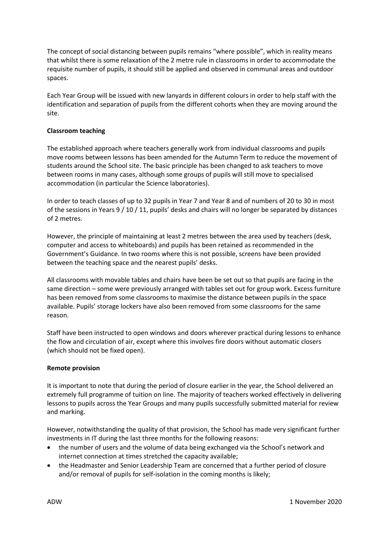The concept of social distancing between pupils remains "where possible", which in reality means that whilst there is some relaxation of the 2 metre rule in classrooms in order to accommodate the requisite number of pupils, it should still be applied and observed in communal areas and outdoor spaces.

Each Year Group will be issued with new lanyards in different colours in order to help staff with the identification and separation of pupils from the different cohorts when they are moving around the site.

# **Classroom teaching**

The established approach where teachers generally work from individual classrooms and pupils move rooms between lessons has been amended for the Autumn Term to reduce the movement of students around the School site. The basic principle has been changed to ask teachers to move between rooms in many cases, although some groups of pupils will still move to specialised accommodation (in particular the Science laboratories).

In order to teach classes of up to 32 pupils in Year 7 and Year 8 and of numbers of 20 to 30 in most of the sessions in Years 9 / 10 / 11, pupils' desks and chairs will no longer be separated by distances of 2 metres.

However, the principle of maintaining at least 2 metres between the area used by teachers (desk, computer and access to whiteboards) and pupils has been retained as recommended in the Government's Guidance. In two rooms where this is not possible, screens have been provided between the teaching space and the nearest pupils' desks.

All classrooms with movable tables and chairs have been be set out so that pupils are facing in the same direction – some were previously arranged with tables set out for group work. Excess furniture has been removed from some classrooms to maximise the distance between pupils in the space available. Pupils' storage lockers have also been removed from some classrooms for the same reason.

Staff have been instructed to open windows and doors wherever practical during lessons to enhance the flow and circulation of air, except where this involves fire doors without automatic closers (which should not be fixed open).

## **Remote provision**

It is important to note that during the period of closure earlier in the year, the School delivered an extremely full programme of tuition on line. The majority of teachers worked effectively in delivering lessons to pupils across the Year Groups and many pupils successfully submitted material for review and marking.

However, notwithstanding the quality of that provision, the School has made very significant further investments in IT during the last three months for the following reasons:

- the number of users and the volume of data being exchanged via the School's network and internet connection at times stretched the capacity available;
- the Headmaster and Senior Leadership Team are concerned that a further period of closure and/or removal of pupils for self-isolation in the coming months is likely;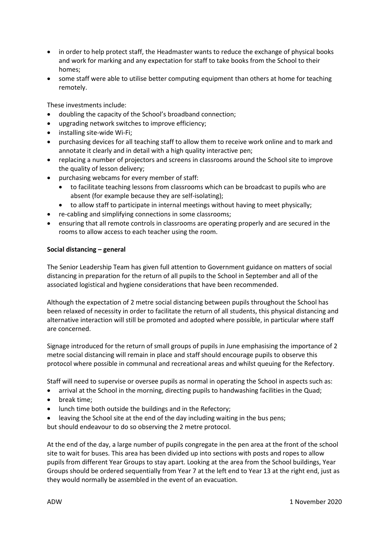- in order to help protect staff, the Headmaster wants to reduce the exchange of physical books and work for marking and any expectation for staff to take books from the School to their homes;
- some staff were able to utilise better computing equipment than others at home for teaching remotely.

These investments include:

- doubling the capacity of the School's broadband connection;
- upgrading network switches to improve efficiency;
- installing site-wide Wi-Fi;
- purchasing devices for all teaching staff to allow them to receive work online and to mark and annotate it clearly and in detail with a high quality interactive pen;
- replacing a number of projectors and screens in classrooms around the School site to improve the quality of lesson delivery;
- purchasing webcams for every member of staff:
	- to facilitate teaching lessons from classrooms which can be broadcast to pupils who are absent (for example because they are self-isolating);
	- to allow staff to participate in internal meetings without having to meet physically;
- re-cabling and simplifying connections in some classrooms;
- ensuring that all remote controls in classrooms are operating properly and are secured in the rooms to allow access to each teacher using the room.

## **Social distancing – general**

The Senior Leadership Team has given full attention to Government guidance on matters of social distancing in preparation for the return of all pupils to the School in September and all of the associated logistical and hygiene considerations that have been recommended.

Although the expectation of 2 metre social distancing between pupils throughout the School has been relaxed of necessity in order to facilitate the return of all students, this physical distancing and alternative interaction will still be promoted and adopted where possible, in particular where staff are concerned.

Signage introduced for the return of small groups of pupils in June emphasising the importance of 2 metre social distancing will remain in place and staff should encourage pupils to observe this protocol where possible in communal and recreational areas and whilst queuing for the Refectory.

Staff will need to supervise or oversee pupils as normal in operating the School in aspects such as:

- arrival at the School in the morning, directing pupils to handwashing facilities in the Quad;
- break time:
- lunch time both outside the buildings and in the Refectory;
- leaving the School site at the end of the day including waiting in the bus pens;

but should endeavour to do so observing the 2 metre protocol.

At the end of the day, a large number of pupils congregate in the pen area at the front of the school site to wait for buses. This area has been divided up into sections with posts and ropes to allow pupils from different Year Groups to stay apart. Looking at the area from the School buildings, Year Groups should be ordered sequentially from Year 7 at the left end to Year 13 at the right end, just as they would normally be assembled in the event of an evacuation.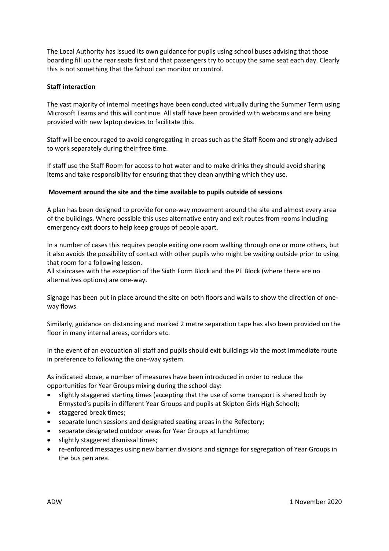The Local Authority has issued its own guidance for pupils using school buses advising that those boarding fill up the rear seats first and that passengers try to occupy the same seat each day. Clearly this is not something that the School can monitor or control.

## **Staff interaction**

The vast majority of internal meetings have been conducted virtually during the Summer Term using Microsoft Teams and this will continue. All staff have been provided with webcams and are being provided with new laptop devices to facilitate this.

Staff will be encouraged to avoid congregating in areas such as the Staff Room and strongly advised to work separately during their free time.

If staff use the Staff Room for access to hot water and to make drinks they should avoid sharing items and take responsibility for ensuring that they clean anything which they use.

## **Movement around the site and the time available to pupils outside of sessions**

A plan has been designed to provide for one-way movement around the site and almost every area of the buildings. Where possible this uses alternative entry and exit routes from rooms including emergency exit doors to help keep groups of people apart.

In a number of cases this requires people exiting one room walking through one or more others, but it also avoids the possibility of contact with other pupils who might be waiting outside prior to using that room for a following lesson.

All staircases with the exception of the Sixth Form Block and the PE Block (where there are no alternatives options) are one-way.

Signage has been put in place around the site on both floors and walls to show the direction of oneway flows.

Similarly, guidance on distancing and marked 2 metre separation tape has also been provided on the floor in many internal areas, corridors etc.

In the event of an evacuation all staff and pupils should exit buildings via the most immediate route in preference to following the one-way system.

As indicated above, a number of measures have been introduced in order to reduce the opportunities for Year Groups mixing during the school day:

- slightly staggered starting times (accepting that the use of some transport is shared both by Ermysted's pupils in different Year Groups and pupils at Skipton Girls High School);
- staggered break times;
- separate lunch sessions and designated seating areas in the Refectory;
- separate designated outdoor areas for Year Groups at lunchtime;
- slightly staggered dismissal times;
- re-enforced messages using new barrier divisions and signage for segregation of Year Groups in the bus pen area.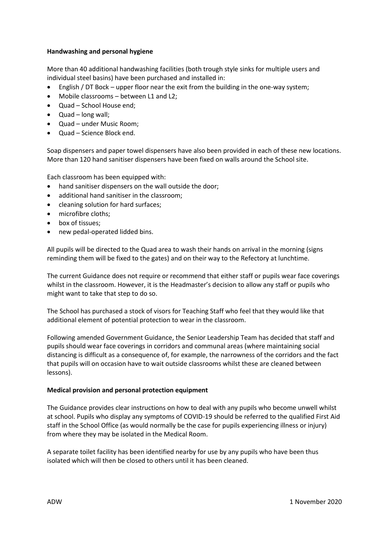# **Handwashing and personal hygiene**

More than 40 additional handwashing facilities (both trough style sinks for multiple users and individual steel basins) have been purchased and installed in:

- English / DT Bock upper floor near the exit from the building in the one-way system;
- Mobile classrooms between L1 and L2;
- Quad School House end;
- Quad long wall;
- Quad under Music Room;
- Quad Science Block end.

Soap dispensers and paper towel dispensers have also been provided in each of these new locations. More than 120 hand sanitiser dispensers have been fixed on walls around the School site.

Each classroom has been equipped with:

- hand sanitiser dispensers on the wall outside the door;
- additional hand sanitiser in the classroom;
- cleaning solution for hard surfaces;
- microfibre cloths;
- box of tissues;
- new pedal-operated lidded bins.

All pupils will be directed to the Quad area to wash their hands on arrival in the morning (signs reminding them will be fixed to the gates) and on their way to the Refectory at lunchtime.

The current Guidance does not require or recommend that either staff or pupils wear face coverings whilst in the classroom. However, it is the Headmaster's decision to allow any staff or pupils who might want to take that step to do so.

The School has purchased a stock of visors for Teaching Staff who feel that they would like that additional element of potential protection to wear in the classroom.

Following amended Government Guidance, the Senior Leadership Team has decided that staff and pupils should wear face coverings in corridors and communal areas (where maintaining social distancing is difficult as a consequence of, for example, the narrowness of the corridors and the fact that pupils will on occasion have to wait outside classrooms whilst these are cleaned between lessons).

## **Medical provision and personal protection equipment**

The Guidance provides clear instructions on how to deal with any pupils who become unwell whilst at school. Pupils who display any symptoms of COVID-19 should be referred to the qualified First Aid staff in the School Office (as would normally be the case for pupils experiencing illness or injury) from where they may be isolated in the Medical Room.

A separate toilet facility has been identified nearby for use by any pupils who have been thus isolated which will then be closed to others until it has been cleaned.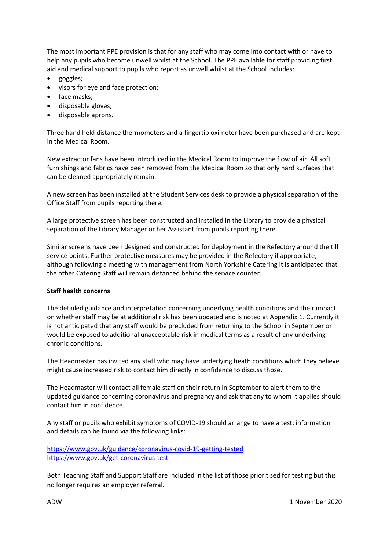The most important PPE provision is that for any staff who may come into contact with or have to help any pupils who become unwell whilst at the School. The PPE available for staff providing first aid and medical support to pupils who report as unwell whilst at the School includes:

- goggles;
- visors for eye and face protection;
- face masks;
- disposable gloves;
- disposable aprons.

Three hand held distance thermometers and a fingertip oximeter have been purchased and are kept in the Medical Room.

New extractor fans have been introduced in the Medical Room to improve the flow of air. All soft furnishings and fabrics have been removed from the Medical Room so that only hard surfaces that can be cleaned appropriately remain.

A new screen has been installed at the Student Services desk to provide a physical separation of the Office Staff from pupils reporting there.

A large protective screen has been constructed and installed in the Library to provide a physical separation of the Library Manager or her Assistant from pupils reporting there.

Similar screens have been designed and constructed for deployment in the Refectory around the till service points. Further protective measures may be provided in the Refectory if appropriate, although following a meeting with management from North Yorkshire Catering it is anticipated that the other Catering Staff will remain distanced behind the service counter.

## **Staff health concerns**

The detailed guidance and interpretation concerning underlying health conditions and their impact on whether staff may be at additional risk has been updated and is noted at Appendix 1. Currently it is not anticipated that any staff would be precluded from returning to the School in September or would be exposed to additional unacceptable risk in medical terms as a result of any underlying chronic conditions.

The Headmaster has invited any staff who may have underlying heath conditions which they believe might cause increased risk to contact him directly in confidence to discuss those.

The Headmaster will contact all female staff on their return in September to alert them to the updated guidance concerning coronavirus and pregnancy and ask that any to whom it applies should contact him in confidence.

Any staff or pupils who exhibit symptoms of COVID-19 should arrange to have a test; information and details can be found via the following links:

<https://www.gov.uk/guidance/coronavirus-covid-19-getting-tested> <https://www.gov.uk/get-coronavirus-test>

Both Teaching Staff and Support Staff are included in the list of those prioritised for testing but this no longer requires an employer referral.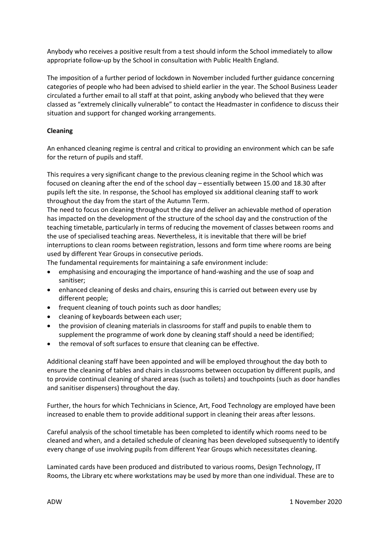Anybody who receives a positive result from a test should inform the School immediately to allow appropriate follow-up by the School in consultation with Public Health England.

The imposition of a further period of lockdown in November included further guidance concerning categories of people who had been advised to shield earlier in the year. The School Business Leader circulated a further email to all staff at that point, asking anybody who believed that they were classed as "extremely clinically vulnerable" to contact the Headmaster in confidence to discuss their situation and support for changed working arrangements.

# **Cleaning**

An enhanced cleaning regime is central and critical to providing an environment which can be safe for the return of pupils and staff.

This requires a very significant change to the previous cleaning regime in the School which was focused on cleaning after the end of the school day – essentially between 15.00 and 18.30 after pupils left the site. In response, the School has employed six additional cleaning staff to work throughout the day from the start of the Autumn Term.

The need to focus on cleaning throughout the day and deliver an achievable method of operation has impacted on the development of the structure of the school day and the construction of the teaching timetable, particularly in terms of reducing the movement of classes between rooms and the use of specialised teaching areas. Nevertheless, it is inevitable that there will be brief interruptions to clean rooms between registration, lessons and form time where rooms are being used by different Year Groups in consecutive periods.

The fundamental requirements for maintaining a safe environment include:

- emphasising and encouraging the importance of hand-washing and the use of soap and sanitiser;
- enhanced cleaning of desks and chairs, ensuring this is carried out between every use by different people;
- frequent cleaning of touch points such as door handles;
- cleaning of keyboards between each user;
- the provision of cleaning materials in classrooms for staff and pupils to enable them to supplement the programme of work done by cleaning staff should a need be identified;
- the removal of soft surfaces to ensure that cleaning can be effective.

Additional cleaning staff have been appointed and will be employed throughout the day both to ensure the cleaning of tables and chairs in classrooms between occupation by different pupils, and to provide continual cleaning of shared areas (such as toilets) and touchpoints (such as door handles and sanitiser dispensers) throughout the day.

Further, the hours for which Technicians in Science, Art, Food Technology are employed have been increased to enable them to provide additional support in cleaning their areas after lessons.

Careful analysis of the school timetable has been completed to identify which rooms need to be cleaned and when, and a detailed schedule of cleaning has been developed subsequently to identify every change of use involving pupils from different Year Groups which necessitates cleaning.

Laminated cards have been produced and distributed to various rooms, Design Technology, IT Rooms, the Library etc where workstations may be used by more than one individual. These are to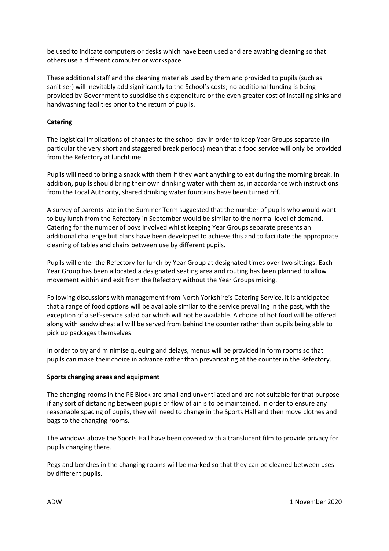be used to indicate computers or desks which have been used and are awaiting cleaning so that others use a different computer or workspace.

These additional staff and the cleaning materials used by them and provided to pupils (such as sanitiser) will inevitably add significantly to the School's costs; no additional funding is being provided by Government to subsidise this expenditure or the even greater cost of installing sinks and handwashing facilities prior to the return of pupils.

# **Catering**

The logistical implications of changes to the school day in order to keep Year Groups separate (in particular the very short and staggered break periods) mean that a food service will only be provided from the Refectory at lunchtime.

Pupils will need to bring a snack with them if they want anything to eat during the morning break. In addition, pupils should bring their own drinking water with them as, in accordance with instructions from the Local Authority, shared drinking water fountains have been turned off.

A survey of parents late in the Summer Term suggested that the number of pupils who would want to buy lunch from the Refectory in September would be similar to the normal level of demand. Catering for the number of boys involved whilst keeping Year Groups separate presents an additional challenge but plans have been developed to achieve this and to facilitate the appropriate cleaning of tables and chairs between use by different pupils.

Pupils will enter the Refectory for lunch by Year Group at designated times over two sittings. Each Year Group has been allocated a designated seating area and routing has been planned to allow movement within and exit from the Refectory without the Year Groups mixing.

Following discussions with management from North Yorkshire's Catering Service, it is anticipated that a range of food options will be available similar to the service prevailing in the past, with the exception of a self-service salad bar which will not be available. A choice of hot food will be offered along with sandwiches; all will be served from behind the counter rather than pupils being able to pick up packages themselves.

In order to try and minimise queuing and delays, menus will be provided in form rooms so that pupils can make their choice in advance rather than prevaricating at the counter in the Refectory.

## **Sports changing areas and equipment**

The changing rooms in the PE Block are small and unventilated and are not suitable for that purpose if any sort of distancing between pupils or flow of air is to be maintained. In order to ensure any reasonable spacing of pupils, they will need to change in the Sports Hall and then move clothes and bags to the changing rooms.

The windows above the Sports Hall have been covered with a translucent film to provide privacy for pupils changing there.

Pegs and benches in the changing rooms will be marked so that they can be cleaned between uses by different pupils.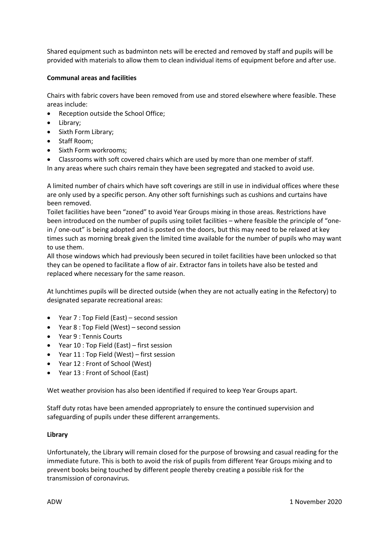Shared equipment such as badminton nets will be erected and removed by staff and pupils will be provided with materials to allow them to clean individual items of equipment before and after use.

# **Communal areas and facilities**

Chairs with fabric covers have been removed from use and stored elsewhere where feasible. These areas include:

- Reception outside the School Office;
- Library;
- Sixth Form Library;
- Staff Room;
- Sixth Form workrooms;
- Classrooms with soft covered chairs which are used by more than one member of staff.
- In any areas where such chairs remain they have been segregated and stacked to avoid use.

A limited number of chairs which have soft coverings are still in use in individual offices where these are only used by a specific person. Any other soft furnishings such as cushions and curtains have been removed.

Toilet facilities have been "zoned" to avoid Year Groups mixing in those areas. Restrictions have been introduced on the number of pupils using toilet facilities – where feasible the principle of "onein / one-out" is being adopted and is posted on the doors, but this may need to be relaxed at key times such as morning break given the limited time available for the number of pupils who may want to use them.

All those windows which had previously been secured in toilet facilities have been unlocked so that they can be opened to facilitate a flow of air. Extractor fans in toilets have also be tested and replaced where necessary for the same reason.

At lunchtimes pupils will be directed outside (when they are not actually eating in the Refectory) to designated separate recreational areas:

- Year 7 : Top Field (East) second session
- Year 8 : Top Field (West) second session
- Year 9 : Tennis Courts
- Year 10 : Top Field (East) first session
- Year 11 : Top Field (West) first session
- Year 12 : Front of School (West)
- Year 13 : Front of School (East)

Wet weather provision has also been identified if required to keep Year Groups apart.

Staff duty rotas have been amended appropriately to ensure the continued supervision and safeguarding of pupils under these different arrangements.

## **Library**

Unfortunately, the Library will remain closed for the purpose of browsing and casual reading for the immediate future. This is both to avoid the risk of pupils from different Year Groups mixing and to prevent books being touched by different people thereby creating a possible risk for the transmission of coronavirus.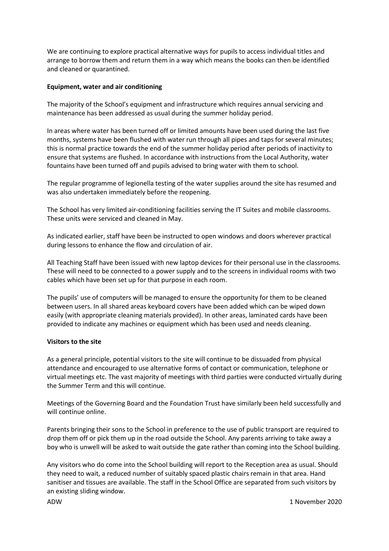We are continuing to explore practical alternative ways for pupils to access individual titles and arrange to borrow them and return them in a way which means the books can then be identified and cleaned or quarantined.

## **Equipment, water and air conditioning**

The majority of the School's equipment and infrastructure which requires annual servicing and maintenance has been addressed as usual during the summer holiday period.

In areas where water has been turned off or limited amounts have been used during the last five months, systems have been flushed with water run through all pipes and taps for several minutes; this is normal practice towards the end of the summer holiday period after periods of inactivity to ensure that systems are flushed. In accordance with instructions from the Local Authority, water fountains have been turned off and pupils advised to bring water with them to school.

The regular programme of legionella testing of the water supplies around the site has resumed and was also undertaken immediately before the reopening.

The School has very limited air-conditioning facilities serving the IT Suites and mobile classrooms. These units were serviced and cleaned in May.

As indicated earlier, staff have been be instructed to open windows and doors wherever practical during lessons to enhance the flow and circulation of air.

All Teaching Staff have been issued with new laptop devices for their personal use in the classrooms. These will need to be connected to a power supply and to the screens in individual rooms with two cables which have been set up for that purpose in each room.

The pupils' use of computers will be managed to ensure the opportunity for them to be cleaned between users. In all shared areas keyboard covers have been added which can be wiped down easily (with appropriate cleaning materials provided). In other areas, laminated cards have been provided to indicate any machines or equipment which has been used and needs cleaning.

## **Visitors to the site**

As a general principle, potential visitors to the site will continue to be dissuaded from physical attendance and encouraged to use alternative forms of contact or communication, telephone or virtual meetings etc. The vast majority of meetings with third parties were conducted virtually during the Summer Term and this will continue.

Meetings of the Governing Board and the Foundation Trust have similarly been held successfully and will continue online.

Parents bringing their sons to the School in preference to the use of public transport are required to drop them off or pick them up in the road outside the School. Any parents arriving to take away a boy who is unwell will be asked to wait outside the gate rather than coming into the School building.

Any visitors who do come into the School building will report to the Reception area as usual. Should they need to wait, a reduced number of suitably spaced plastic chairs remain in that area. Hand sanitiser and tissues are available. The staff in the School Office are separated from such visitors by an existing sliding window.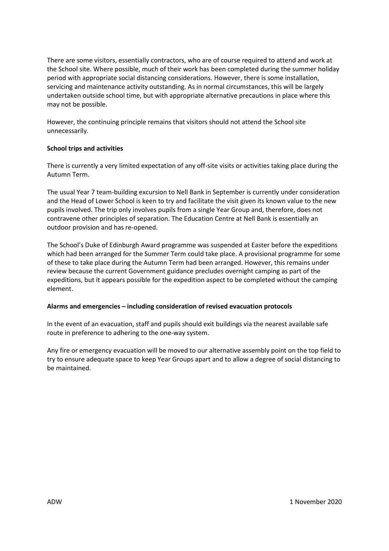There are some visitors, essentially contractors, who are of course required to attend and work at the School site. Where possible, much of their work has been completed during the summer holiday period with appropriate social distancing considerations. However, there is some installation, servicing and maintenance activity outstanding. As in normal circumstances, this will be largely undertaken outside school time, but with appropriate alternative precautions in place where this may not be possible.

However, the continuing principle remains that visitors should not attend the School site unnecessarily.

# **School trips and activities**

There is currently a very limited expectation of any off-site visits or activities taking place during the Autumn Term.

The usual Year 7 team-building excursion to Nell Bank in September is currently under consideration and the Head of Lower School is keen to try and facilitate the visit given its known value to the new pupils involved. The trip only involves pupils from a single Year Group and, therefore, does not contravene other principles of separation. The Education Centre at Nell Bank is essentially an outdoor provision and has re-opened.

The School's Duke of Edinburgh Award programme was suspended at Easter before the expeditions which had been arranged for the Summer Term could take place. A provisional programme for some of these to take place during the Autumn Term had been arranged. However, this remains under review because the current Government guidance precludes overnight camping as part of the expeditions, but it appears possible for the expedition aspect to be completed without the camping element.

## **Alarms and emergencies – including consideration of revised evacuation protocols**

In the event of an evacuation, staff and pupils should exit buildings via the nearest available safe route in preference to adhering to the one-way system.

Any fire or emergency evacuation will be moved to our alternative assembly point on the top field to try to ensure adequate space to keep Year Groups apart and to allow a degree of social distancing to be maintained.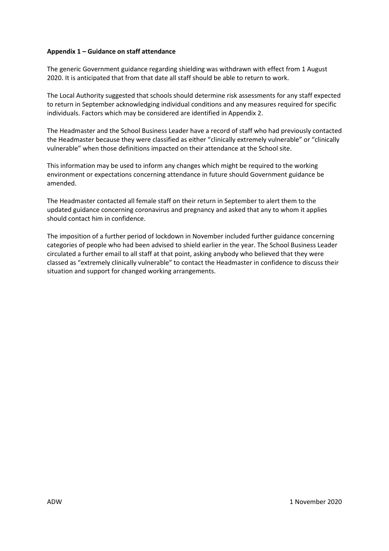# **Appendix 1 – Guidance on staff attendance**

The generic Government guidance regarding shielding was withdrawn with effect from 1 August 2020. It is anticipated that from that date all staff should be able to return to work.

The Local Authority suggested that schools should determine risk assessments for any staff expected to return in September acknowledging individual conditions and any measures required for specific individuals. Factors which may be considered are identified in Appendix 2.

The Headmaster and the School Business Leader have a record of staff who had previously contacted the Headmaster because they were classified as either "clinically extremely vulnerable" or "clinically vulnerable" when those definitions impacted on their attendance at the School site.

This information may be used to inform any changes which might be required to the working environment or expectations concerning attendance in future should Government guidance be amended.

The Headmaster contacted all female staff on their return in September to alert them to the updated guidance concerning coronavirus and pregnancy and asked that any to whom it applies should contact him in confidence.

The imposition of a further period of lockdown in November included further guidance concerning categories of people who had been advised to shield earlier in the year. The School Business Leader circulated a further email to all staff at that point, asking anybody who believed that they were classed as "extremely clinically vulnerable" to contact the Headmaster in confidence to discuss their situation and support for changed working arrangements.